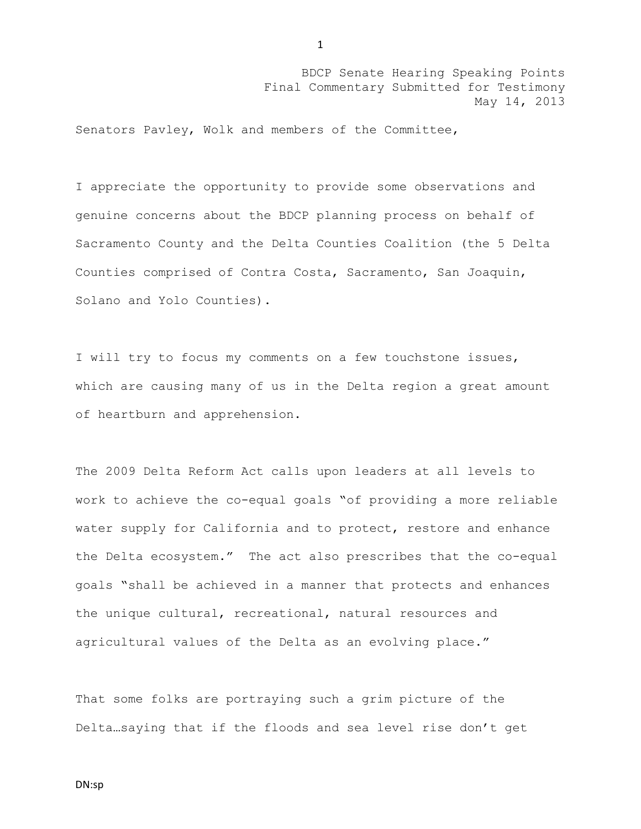Senators Pavley, Wolk and members of the Committee,

I appreciate the opportunity to provide some observations and genuine concerns about the BDCP planning process on behalf of Sacramento County and the Delta Counties Coalition (the 5 Delta Counties comprised of Contra Costa, Sacramento, San Joaquin, Solano and Yolo Counties).

I will try to focus my comments on a few touchstone issues, which are causing many of us in the Delta region a great amount of heartburn and apprehension.

The 2009 Delta Reform Act calls upon leaders at all levels to work to achieve the co-equal goals "of providing a more reliable water supply for California and to protect, restore and enhance the Delta ecosystem." The act also prescribes that the co-equal goals "shall be achieved in a manner that protects and enhances the unique cultural, recreational, natural resources and agricultural values of the Delta as an evolving place."

That some folks are portraying such a grim picture of the Delta…saying that if the floods and sea level rise don't get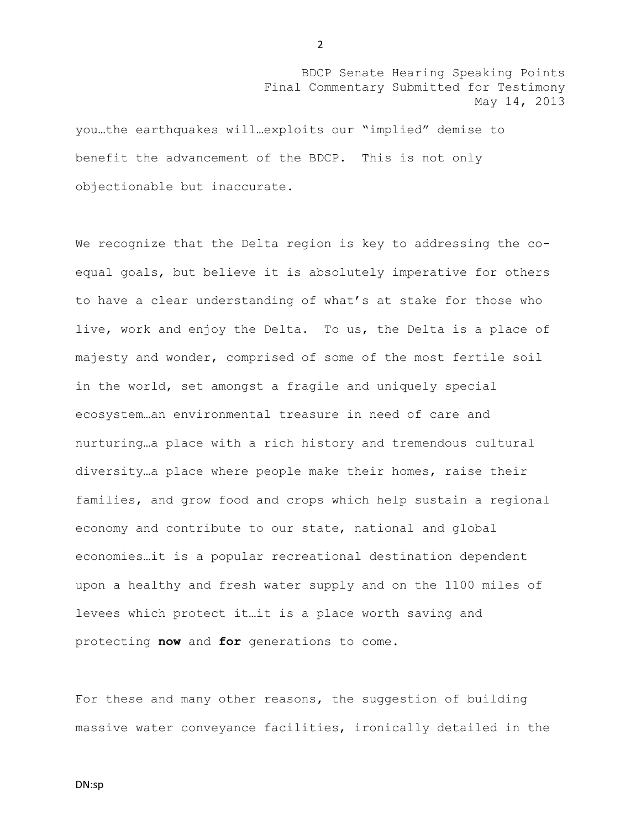you…the earthquakes will…exploits our "implied" demise to benefit the advancement of the BDCP. This is not only objectionable but inaccurate.

We recognize that the Delta region is key to addressing the coequal goals, but believe it is absolutely imperative for others to have a clear understanding of what's at stake for those who live, work and enjoy the Delta. To us, the Delta is a place of majesty and wonder, comprised of some of the most fertile soil in the world, set amongst a fragile and uniquely special ecosystem…an environmental treasure in need of care and nurturing…a place with a rich history and tremendous cultural diversity…a place where people make their homes, raise their families, and grow food and crops which help sustain a regional economy and contribute to our state, national and global economies…it is a popular recreational destination dependent upon a healthy and fresh water supply and on the 1100 miles of levees which protect it…it is a place worth saving and protecting **now** and **for** generations to come.

For these and many other reasons, the suggestion of building massive water conveyance facilities, ironically detailed in the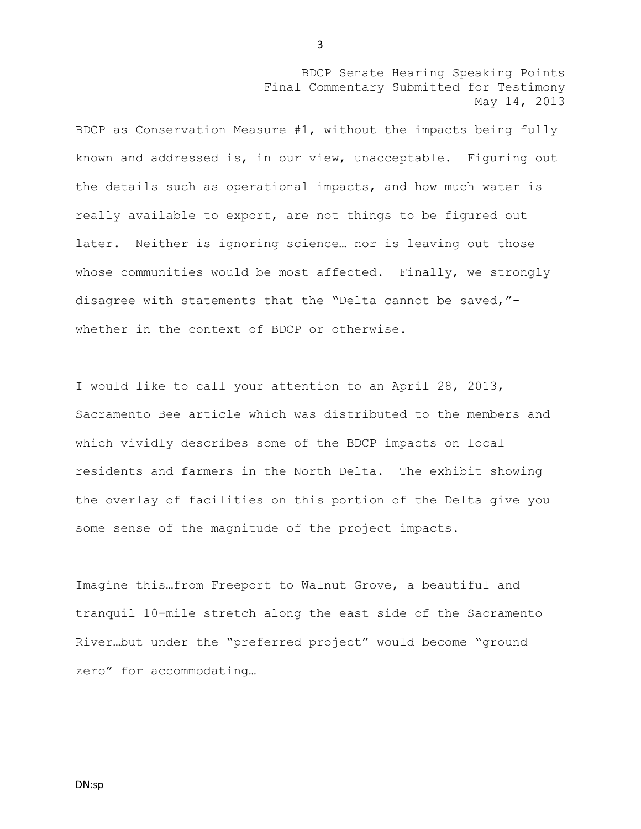BDCP as Conservation Measure #1, without the impacts being fully known and addressed is, in our view, unacceptable. Figuring out the details such as operational impacts, and how much water is really available to export, are not things to be figured out later. Neither is ignoring science… nor is leaving out those whose communities would be most affected. Finally, we strongly disagree with statements that the "Delta cannot be saved," whether in the context of BDCP or otherwise.

I would like to call your attention to an April 28, 2013, Sacramento Bee article which was distributed to the members and which vividly describes some of the BDCP impacts on local residents and farmers in the North Delta. The exhibit showing the overlay of facilities on this portion of the Delta give you some sense of the magnitude of the project impacts.

Imagine this…from Freeport to Walnut Grove, a beautiful and tranquil 10-mile stretch along the east side of the Sacramento River…but under the "preferred project" would become "ground zero" for accommodating…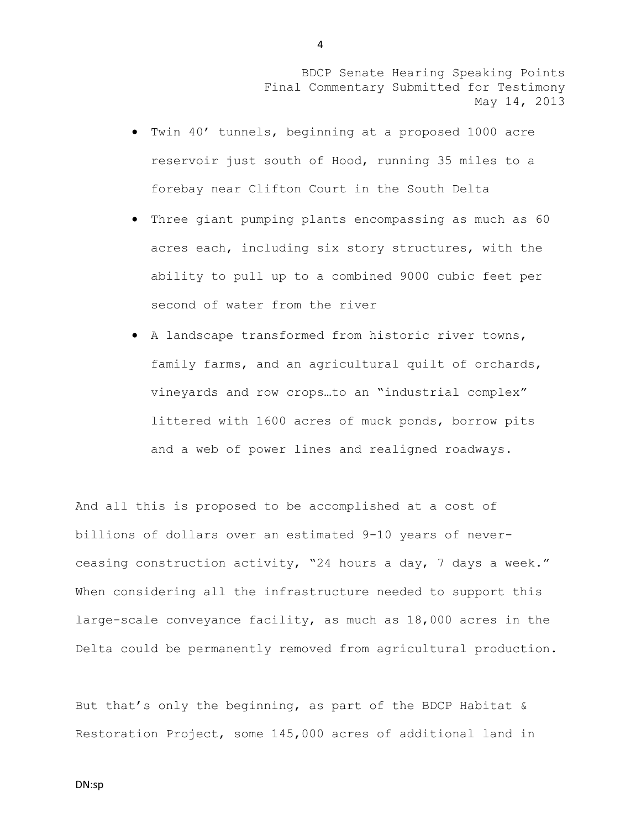- Twin 40' tunnels, beginning at a proposed 1000 acre reservoir just south of Hood, running 35 miles to a forebay near Clifton Court in the South Delta
- Three giant pumping plants encompassing as much as 60 acres each, including six story structures, with the ability to pull up to a combined 9000 cubic feet per second of water from the river
- A landscape transformed from historic river towns, family farms, and an agricultural quilt of orchards, vineyards and row crops…to an "industrial complex" littered with 1600 acres of muck ponds, borrow pits and a web of power lines and realigned roadways.

And all this is proposed to be accomplished at a cost of billions of dollars over an estimated 9-10 years of neverceasing construction activity, "24 hours a day, 7 days a week." When considering all the infrastructure needed to support this large-scale conveyance facility, as much as 18,000 acres in the Delta could be permanently removed from agricultural production.

But that's only the beginning, as part of the BDCP Habitat & Restoration Project, some 145,000 acres of additional land in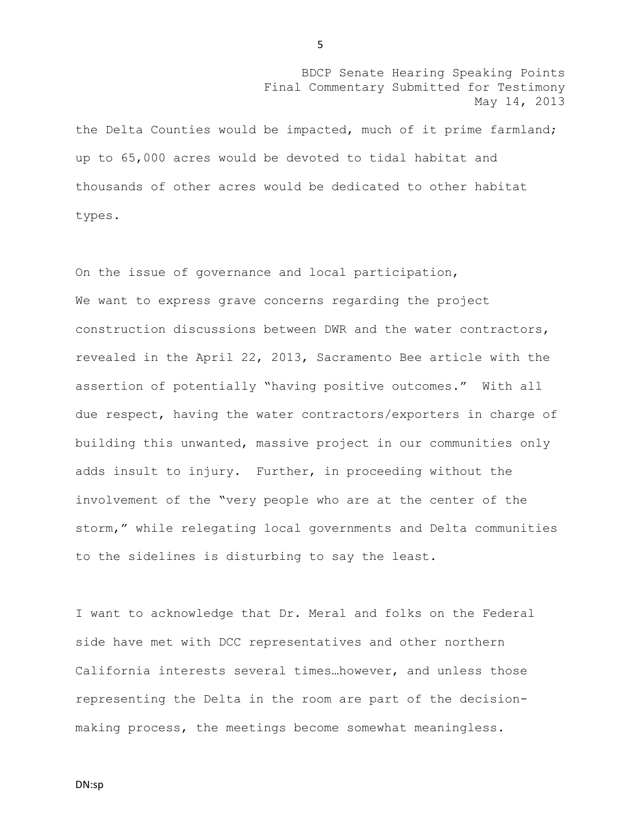the Delta Counties would be impacted, much of it prime farmland; up to 65,000 acres would be devoted to tidal habitat and thousands of other acres would be dedicated to other habitat types.

On the issue of governance and local participation, We want to express grave concerns regarding the project construction discussions between DWR and the water contractors, revealed in the April 22, 2013, Sacramento Bee article with the assertion of potentially "having positive outcomes." With all due respect, having the water contractors/exporters in charge of building this unwanted, massive project in our communities only adds insult to injury. Further, in proceeding without the involvement of the "very people who are at the center of the storm," while relegating local governments and Delta communities to the sidelines is disturbing to say the least.

I want to acknowledge that Dr. Meral and folks on the Federal side have met with DCC representatives and other northern California interests several times…however, and unless those representing the Delta in the room are part of the decisionmaking process, the meetings become somewhat meaningless.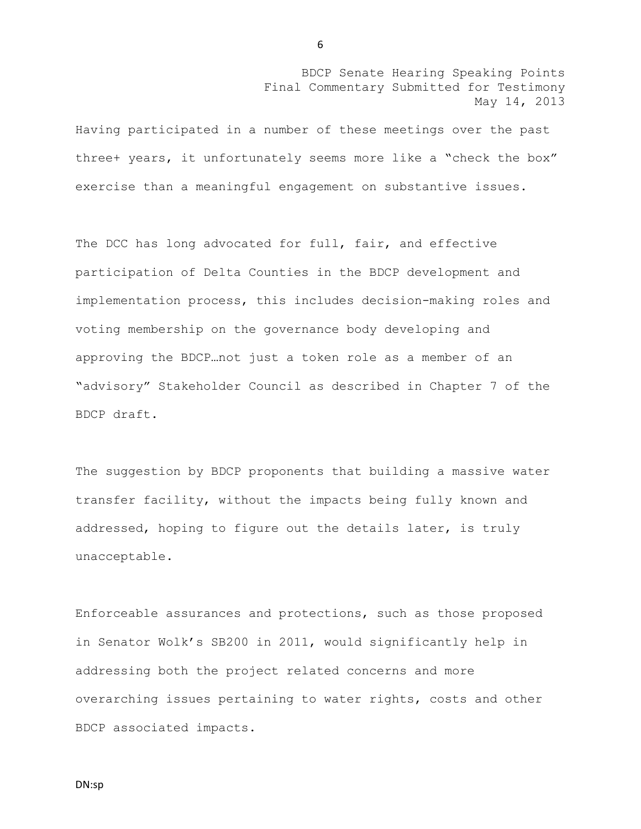Having participated in a number of these meetings over the past three+ years, it unfortunately seems more like a "check the box" exercise than a meaningful engagement on substantive issues.

The DCC has long advocated for full, fair, and effective participation of Delta Counties in the BDCP development and implementation process, this includes decision-making roles and voting membership on the governance body developing and approving the BDCP…not just a token role as a member of an "advisory" Stakeholder Council as described in Chapter 7 of the BDCP draft.

The suggestion by BDCP proponents that building a massive water transfer facility, without the impacts being fully known and addressed, hoping to figure out the details later, is truly unacceptable.

Enforceable assurances and protections, such as those proposed in Senator Wolk's SB200 in 2011, would significantly help in addressing both the project related concerns and more overarching issues pertaining to water rights, costs and other BDCP associated impacts.

DN:sp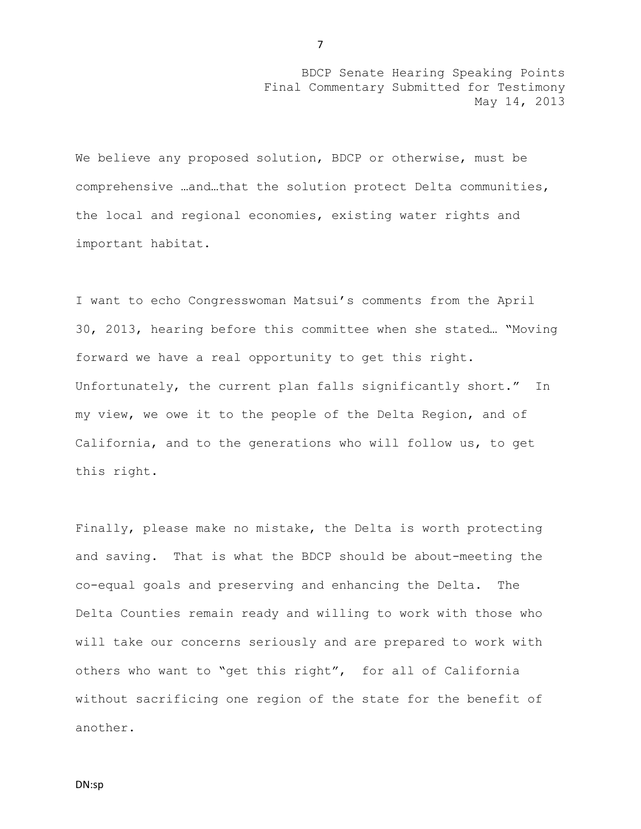We believe any proposed solution, BDCP or otherwise, must be comprehensive …and…that the solution protect Delta communities, the local and regional economies, existing water rights and important habitat.

I want to echo Congresswoman Matsui's comments from the April 30, 2013, hearing before this committee when she stated… "Moving forward we have a real opportunity to get this right. Unfortunately, the current plan falls significantly short." In my view, we owe it to the people of the Delta Region, and of California, and to the generations who will follow us, to get this right.

Finally, please make no mistake, the Delta is worth protecting and saving. That is what the BDCP should be about-meeting the co-equal goals and preserving and enhancing the Delta. The Delta Counties remain ready and willing to work with those who will take our concerns seriously and are prepared to work with others who want to "get this right", for all of California without sacrificing one region of the state for the benefit of another.